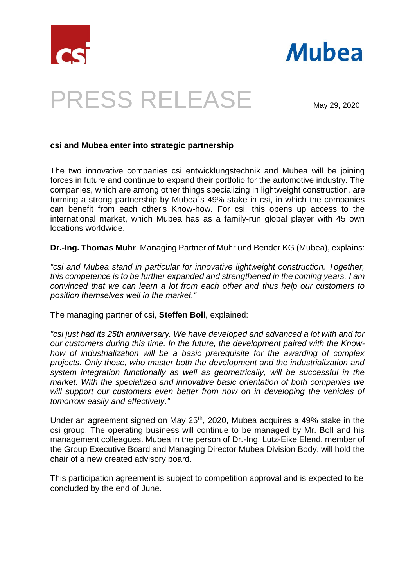



## PRESS RELEASE May 29, 2020

## **csi and Mubea enter into strategic partnership**

The two innovative companies csi entwicklungstechnik and Mubea will be joining forces in future and continue to expand their portfolio for the automotive industry. The companies, which are among other things specializing in lightweight construction, are forming a strong partnership by Mubea´s 49% stake in csi, in which the companies can benefit from each other's Know-how. For csi, this opens up access to the international market, which Mubea has as a family-run global player with 45 own locations worldwide.

**Dr.-Ing. Thomas Muhr**, Managing Partner of Muhr und Bender KG (Mubea), explains:

*"csi and Mubea stand in particular for innovative lightweight construction. Together, this competence is to be further expanded and strengthened in the coming years. I am convinced that we can learn a lot from each other and thus help our customers to position themselves well in the market."*

The managing partner of csi, **Steffen Boll**, explained:

*"csi just had its 25th anniversary. We have developed and advanced a lot with and for our customers during this time. In the future, the development paired with the Knowhow of industrialization will be a basic prerequisite for the awarding of complex projects. Only those, who master both the development and the industrialization and system integration functionally as well as geometrically, will be successful in the market. With the specialized and innovative basic orientation of both companies we will support our customers even better from now on in developing the vehicles of tomorrow easily and effectively."*

Under an agreement signed on May  $25<sup>th</sup>$ , 2020, Mubea acquires a 49% stake in the csi group. The operating business will continue to be managed by Mr. Boll and his management colleagues. Mubea in the person of Dr.-Ing. Lutz-Eike Elend, member of the Group Executive Board and Managing Director Mubea Division Body, will hold the chair of a new created advisory board.

This participation agreement is subject to competition approval and is expected to be concluded by the end of June.